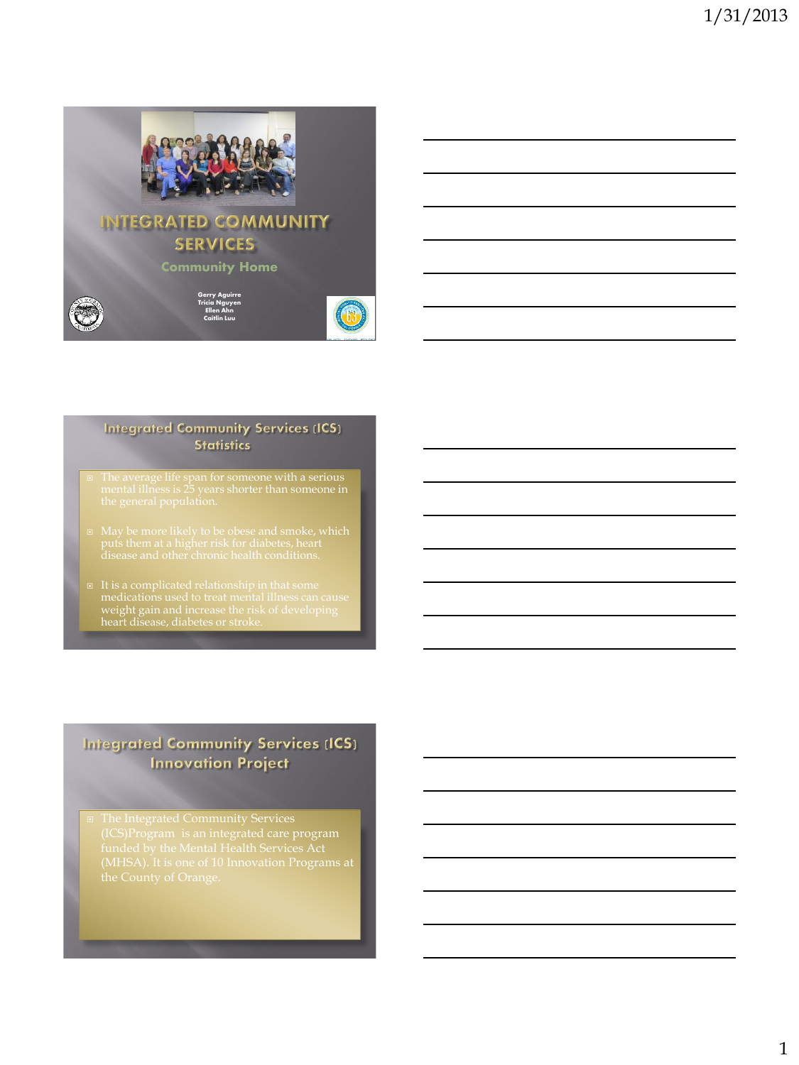

#### **Integrated Community Services (ICS) Statistics**

- 
- puts them at a higher risk for diabetes, heart
- weight gain and increase the risk of developing heart disease, diabetes or stroke.

#### **Integrated Community Services (ICS) Innovation Project**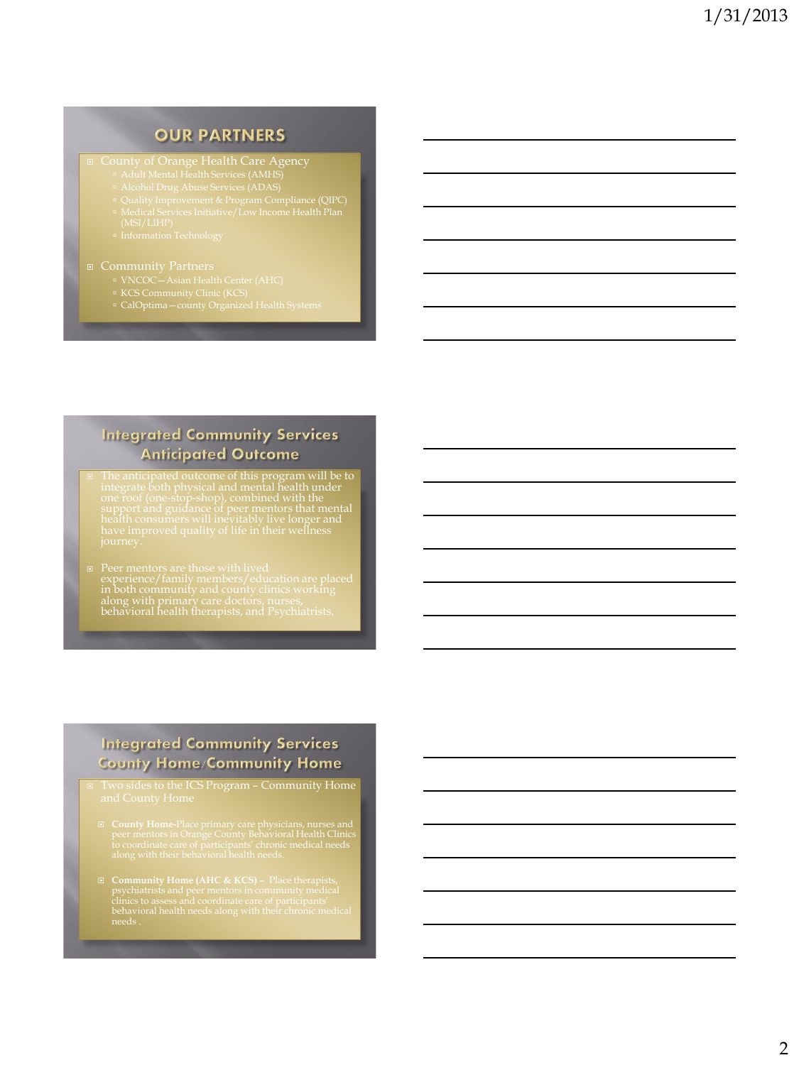#### **OUR PARTNERS**

- Adult Mental Health Services (AMHS)
- 
- Quality Improvement & Program Compliance (QIPC)
- 
- 

#### ■ Community Partners

- 
- 
- CalOptima—county Organized Health Systems

#### **Integrated Community Services Anticipated Outcome**

 $\Box$  The anticipated outcome of this program will be to integrate both physical and mental health under one roof (one-stop-shop), combined with the support and guidance of peer mentors that mental health consumers will in

# Peer mentors are those with lived experience/family members/education are placed in both community and county clinics working along with primary care doctors, nurses, behavioral health therapists, and Psychiatrists.

#### **Integrated Community Services County Home/Community Home**

- Two sides to the ICS Program Community Home
	- **County Home-**Place primary care physicians, nurses and peer mentors in Orange County Behavioral Health Clinics to coordinate care of participants' chronic medical needs along with their behavioral health needs.
-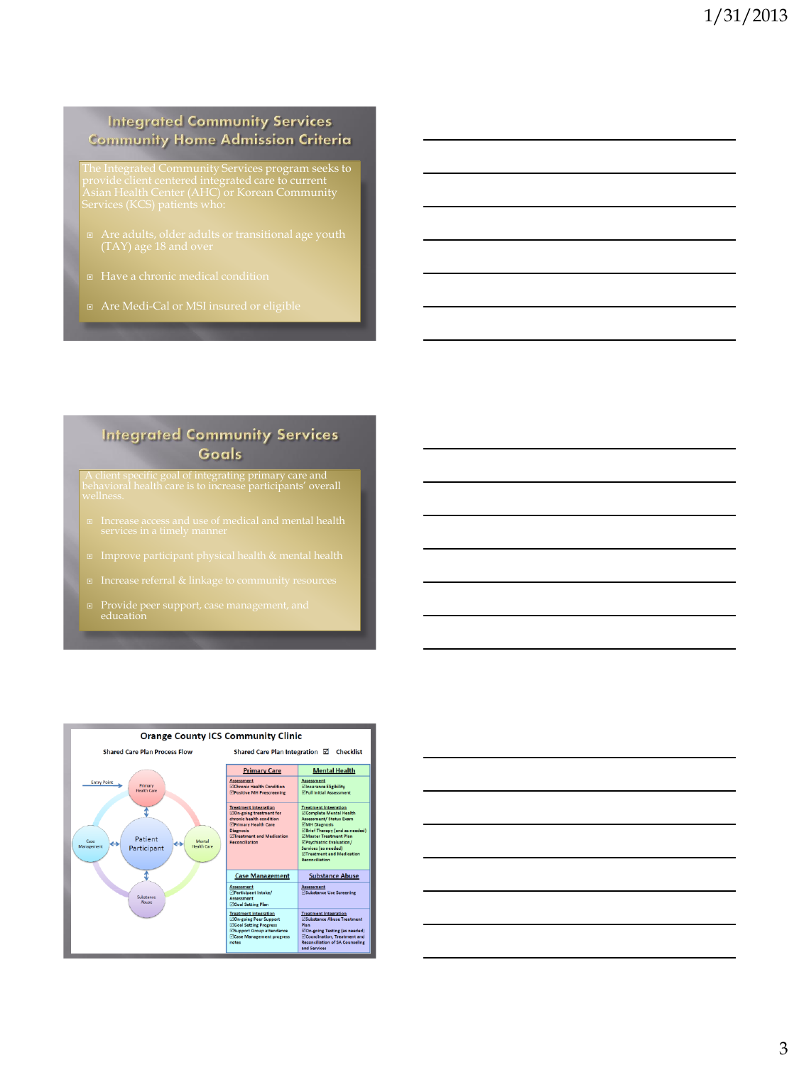#### **Integrated Community Services Community Home Admission Criteria**

- 
- 
- Are Medi-Cal or MSI insured or eligible

#### **Integrated Community Services** Goals

A client specific goal of integrating primary care and behavioral health care is to increase participants' overall wellness.

- 
- 
- 
- Provide peer support, case management, and education



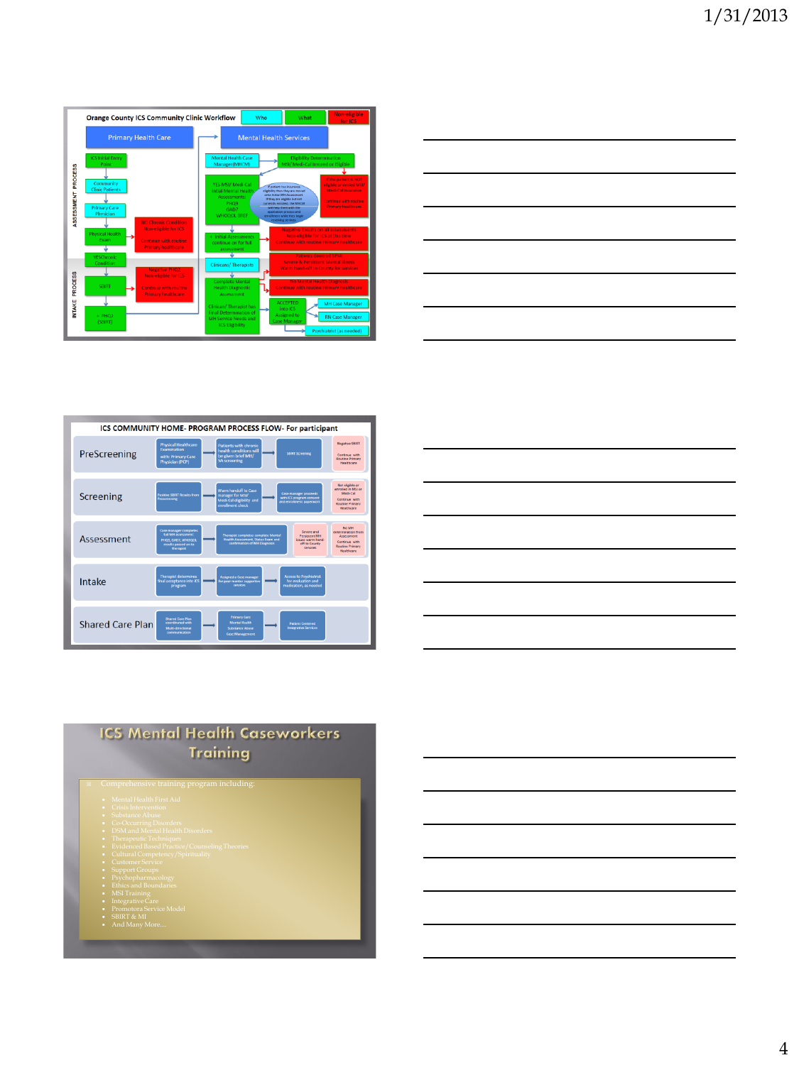|                                                                       | <b>Orange County ICS Community Clinic Workflow</b>                                                                                                                                                                                                                                                                                                                                                                                                            |                                                                                                                                                                                                                                                                                                                                                                                                                                                                                                                                                                                                                                                                                             | Who | What                                                                                                                 | Non-eligible<br>for ICS                                                      |  |
|-----------------------------------------------------------------------|---------------------------------------------------------------------------------------------------------------------------------------------------------------------------------------------------------------------------------------------------------------------------------------------------------------------------------------------------------------------------------------------------------------------------------------------------------------|---------------------------------------------------------------------------------------------------------------------------------------------------------------------------------------------------------------------------------------------------------------------------------------------------------------------------------------------------------------------------------------------------------------------------------------------------------------------------------------------------------------------------------------------------------------------------------------------------------------------------------------------------------------------------------------------|-----|----------------------------------------------------------------------------------------------------------------------|------------------------------------------------------------------------------|--|
|                                                                       | <b>Primary Health Care</b>                                                                                                                                                                                                                                                                                                                                                                                                                                    | <b>Mental Health Services</b>                                                                                                                                                                                                                                                                                                                                                                                                                                                                                                                                                                                                                                                               |     |                                                                                                                      |                                                                              |  |
| <b>PROCESS</b><br><b>ASSESSMENT</b><br><b>PROCESS</b><br><b>NTAKE</b> | <b>ICS Initial Entry</b><br>Point<br>Community<br><b>Clinic Patients</b><br><b>Primary Care</b><br>Physician<br>NO Chronic Condition<br><b>Non-eligible for ICS</b><br><b>Physical Health</b><br>Exam<br><b>Continue with routine</b><br><b>Primary healthcare</b><br>YESChronic<br>Condition<br><b>Negative PHO2</b><br>Non-eligible for ICS<br><b>SBIRT</b><br><b>Continue with routine</b><br><b>Primary healthcare</b><br>$+$ PHQ <sub>2</sub><br>(SBIRT) | <b>Eligibility Determination</b><br>Mental Health Case<br>MSI/ Medi-Cal Insured or Eligible<br>Manager(MHCM)<br>If the patient is NOT<br>YES MSI/ Medi-Cal<br>digible or denied MSI/<br>If patient has insurance<br>Medi-Cal Insurance<br><b>Intial Mental Health</b><br>eligibility then they are moved<br>onto Initial MH Assessment.<br><b>Assessments:</b><br>If they are eligible but not<br>Continue with routine<br><b>PHO9</b><br>currently enrolled, the MHCM<br><b>Primary healthcare</b><br>will help them with the<br>GAD7<br>application process and<br><b>WHOOOL BREE</b><br>enrollment while they begin<br>receiving services.<br><b>Negative Results on all assessments</b> |     |                                                                                                                      |                                                                              |  |
|                                                                       |                                                                                                                                                                                                                                                                                                                                                                                                                                                               | Non-eligible for ICS at this time<br>Initial Assessments<br><b>Continue with routine Primary healthcare</b><br>continue on for full<br>assessment<br><b>Patients deemed SPMI</b><br><b>Severe &amp; Persistent Mental Illness</b><br><b>Clinicans/Therapists</b><br>Warm hand-off to County for services<br><b>Complete Mental</b><br><b>No Mental Health Diagnosis</b>                                                                                                                                                                                                                                                                                                                     |     |                                                                                                                      |                                                                              |  |
|                                                                       |                                                                                                                                                                                                                                                                                                                                                                                                                                                               | <b>Health Diagnostic</b><br><b>Assessment</b><br>Clinican/Therapist has<br><b>Final Determination of</b><br><b>MH</b> Service Needs and<br><b>ICS Eligibility</b>                                                                                                                                                                                                                                                                                                                                                                                                                                                                                                                           |     | <b>Continue with routine Primary healthcare</b><br><b>ACCEPTED</b><br>into ICS<br><b>Assigned to</b><br>Case Manager | <b>MH Case Manager</b><br><b>RN Case Manager</b><br>Psychiatrist (as needed) |  |

|                                                            |  | <u> 1989 - Johann Stein, marwolaethau a bhann an t-Amhair ann an t-Amhair an t-Amhair an t-Amhair an t-Amhair an</u>   |
|------------------------------------------------------------|--|------------------------------------------------------------------------------------------------------------------------|
|                                                            |  | <u> 1989 - Johann Barn, mars ann an t-Amhain ann an t-Amhain ann an t-Amhain ann an t-Amhain ann an t-Amhain ann a</u> |
|                                                            |  |                                                                                                                        |
|                                                            |  | <u> 1989 - Johann Barn, amerikansk politiker (d. 1989)</u>                                                             |
| <u> 1980 - Johann Barn, amerikansk politiker (d. 1980)</u> |  | $\overline{\phantom{a}}$                                                                                               |
|                                                            |  | <u> 1989 - Andrea Andrew Maria (h. 1989).</u>                                                                          |
|                                                            |  |                                                                                                                        |





#### **ICS Mental Health Caseworkers Training**

 $n$ prehensive training program including

- 
- 
- 
- 
- 
- 
- 
- 
- 
- 
-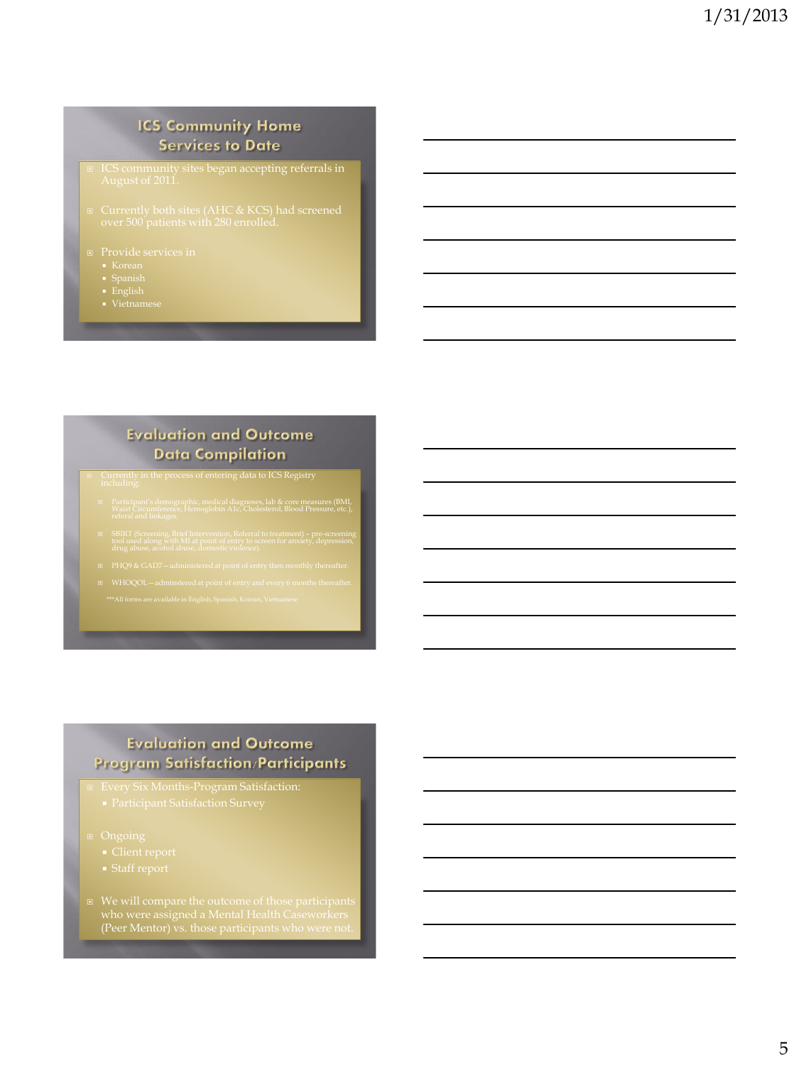#### **ICS Community Home Services to Date**

- 
- 
- 
- 

#### **Evaluation and Outcome Data Compilation**

- 
- 
- 
- 

#### **Evaluation and Outcome Program Satisfaction/Participants**

- Every Six Months-Program Satisfaction:
	-
- -
	-
- (Peer Mentor) vs. those participants who were not.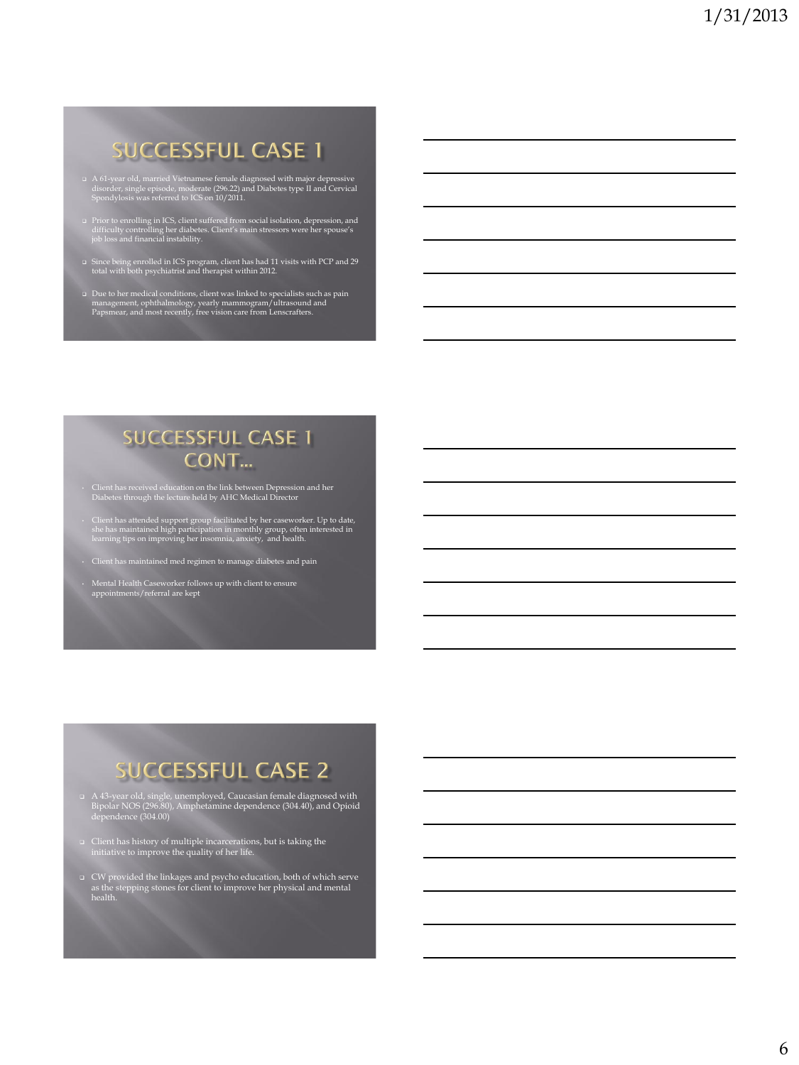# **SUCCESSFUL CASE 1**

- A 61-year old, married Vietnamese female diagnosed with major depressive disorder, single episode, moderate (296.22) and Diabetes type II and Cervical Spondylosis was referred to ICS on 10/2011.
- Prior to enrolling in ICS, client suffered from social isolation, depression, and difficulty controlling her diabetes. Client's main stressors were her spouse's job loss and financial instability.
- Since being enrolled in ICS program, client has had 11 visits with PCP and 29 total with both psychiatrist and therapist within 2012.
- Due to her medical conditions, client was linked to specialists such as pain management, ophthalmology, yearly mammogram/ultrasound and Papsmear, and most recently, free vision care from Lenscrafters.

### **SUCCESSFUL CASE 1 CONT...**

- Client has received education on the link between Depression and her Diabetes through the lecture held by AHC Medical Director
- Client has attended support group facilitated by her caseworker. Up to date, she has maintained high participation in monthly group, often interested in learning tips on improving her insomnia, anxiety, and health.
- Client has maintained med regimen to manage diabetes and pain
- Mental Health Caseworker follows up with client to ensure appointments/referral are kept

# **SUCCESSFUL CASE 2**

- A 43-year old, single, unemployed, Caucasian female diagnosed with Bipolar NOS (296.80), Amphetamine dependence (304.40), and Opioid dependence (304.00)
- Client has history of multiple incarcerations, but is taking the initiative to improve the quality of her life.
- CW provided the linkages and psycho education, both of which serve as the stepping stones for client to improve her physical and mental health.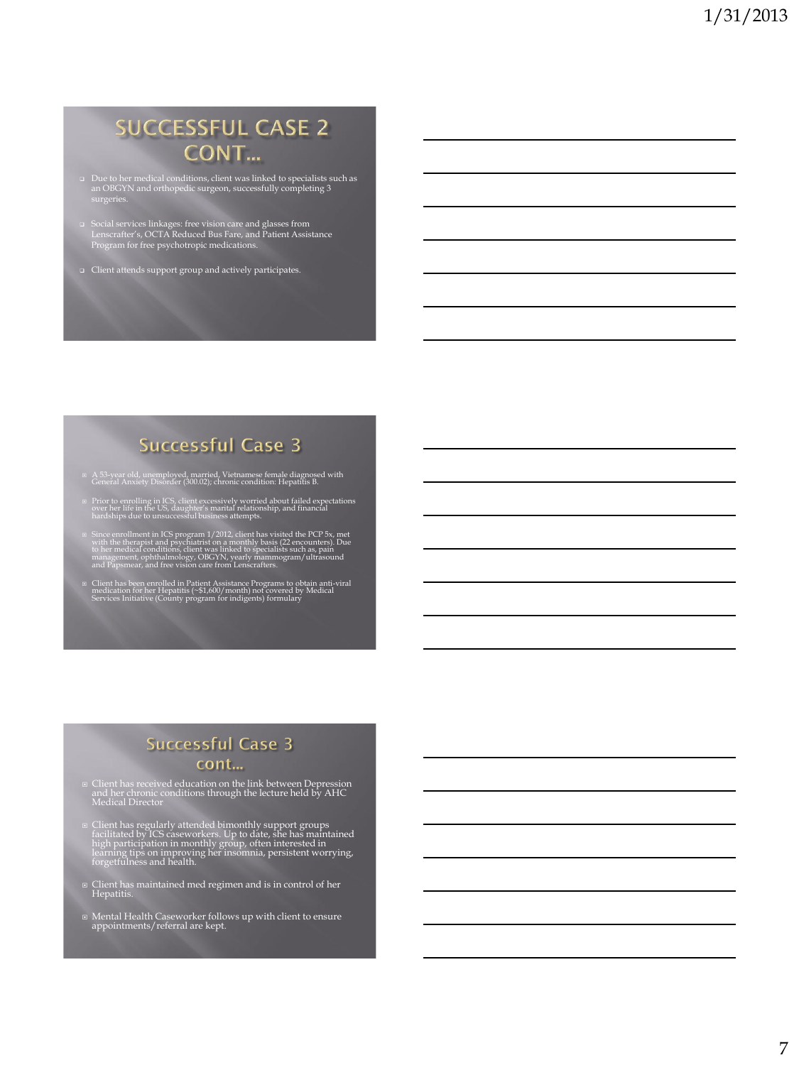# **SUCCESSFUL CASE 2** CONT...

- Due to her medical conditions, client was linked to specialists such as an OBGYN and orthopedic surgeon, successfully completing 3 surgeries.
- Social services linkages: free vision care and glasses from Lenscrafter's, OCTA Reduced Bus Fare, and Patient Assistance Program for free psychotropic medications.
- Client attends support group and actively participates.

## **Successful Case 3**

- A 53-year old, unemployed, married, Vietnamese female diagnosed with General Anxiety Disorder (300.02); chronic condition: Hepatitis B.
- **□ Prior to enrolling in ICS**, client excessively worried about failed expectations<br>over her life in the US, daughter's marital relationship, and financial<br>hardships due to unsuccessful business attempts.
- <sup>1</sup> Since enrollment in ICS program 1/2012, client has visited the PCP 5x, met with the therapist and psychiatrist on a monthly basis (22 encounters). Due to her medical conditions, client was linked to specialists such as
- © Client has been enrolled in Patient Assistance Programs to obtain anti-viral<br>medication for her Hepatitis (~\$1,600/month) not covered by Medical<br>Services Initiative (County program for indigents) formulary

#### **Successful Case 3** cont...

- Client has received education on the link between Depression and her chronic conditions through the lecture held by AHC Medical Director
- ¤ Client has regularly attended bimonthly support groups<br>facilitated by ICS caseworkers. Up to date, she has maintained<br>high participation in monthly group, often interested in<br>learning tips on improving her insomnia, pers
- Client has maintained med regimen and is in control of her Hepatitis.
- Mental Health Caseworker follows up with client to ensure appointments/referral are kept.